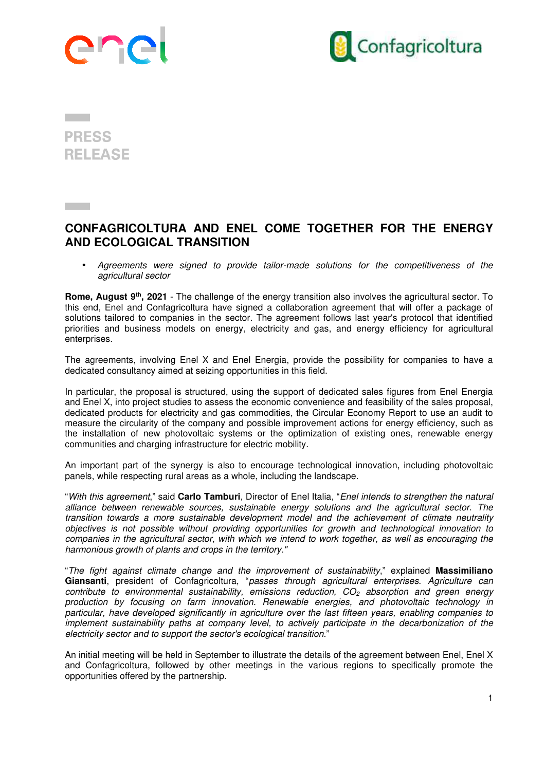



## **PRESS RELEASE**

## **CONFAGRICOLTURA AND ENEL COME TOGETHER FOR THE ENERGY AND ECOLOGICAL TRANSITION**

• Agreements were signed to provide tailor-made solutions for the competitiveness of the agricultural sector

**Rome, August 9th, 2021** - The challenge of the energy transition also involves the agricultural sector. To this end, Enel and Confagricoltura have signed a collaboration agreement that will offer a package of solutions tailored to companies in the sector. The agreement follows last year's protocol that identified priorities and business models on energy, electricity and gas, and energy efficiency for agricultural enterprises.

The agreements, involving Enel X and Enel Energia, provide the possibility for companies to have a dedicated consultancy aimed at seizing opportunities in this field.

In particular, the proposal is structured, using the support of dedicated sales figures from Enel Energia and Enel X, into project studies to assess the economic convenience and feasibility of the sales proposal, dedicated products for electricity and gas commodities, the Circular Economy Report to use an audit to measure the circularity of the company and possible improvement actions for energy efficiency, such as the installation of new photovoltaic systems or the optimization of existing ones, renewable energy communities and charging infrastructure for electric mobility.

An important part of the synergy is also to encourage technological innovation, including photovoltaic panels, while respecting rural areas as a whole, including the landscape.

"With this agreement," said **Carlo Tamburi**, Director of Enel Italia, "Enel intends to strengthen the natural alliance between renewable sources, sustainable energy solutions and the agricultural sector. The transition towards a more sustainable development model and the achievement of climate neutrality objectives is not possible without providing opportunities for growth and technological innovation to companies in the agricultural sector, with which we intend to work together, as well as encouraging the harmonious growth of plants and crops in the territory."

"The fight against climate change and the improvement of sustainability," explained **Massimiliano Giansanti**, president of Confagricoltura, "passes through agricultural enterprises. Agriculture can contribute to environmental sustainability, emissions reduction,  $CO<sub>2</sub>$  absorption and green energy production by focusing on farm innovation. Renewable energies, and photovoltaic technology in particular, have developed significantly in agriculture over the last fifteen years, enabling companies to implement sustainability paths at company level, to actively participate in the decarbonization of the electricity sector and to support the sector's ecological transition."

An initial meeting will be held in September to illustrate the details of the agreement between Enel, Enel X and Confagricoltura, followed by other meetings in the various regions to specifically promote the opportunities offered by the partnership.